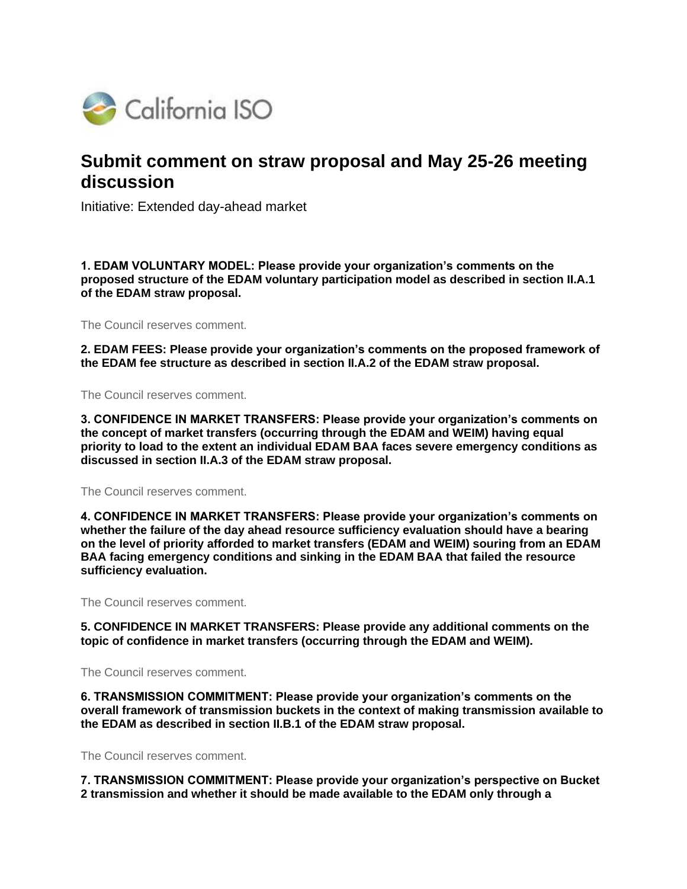

# **Submit comment on straw proposal and May 25-26 meeting discussion**

Initiative: Extended day-ahead market

**1. EDAM VOLUNTARY MODEL: Please provide your organization's comments on the proposed structure of the EDAM voluntary participation model as described in section II.A.1 of the EDAM straw proposal.**

The Council reserves comment.

**2. EDAM FEES: Please provide your organization's comments on the proposed framework of the EDAM fee structure as described in section II.A.2 of the EDAM straw proposal.**

The Council reserves comment.

**3. CONFIDENCE IN MARKET TRANSFERS: Please provide your organization's comments on the concept of market transfers (occurring through the EDAM and WEIM) having equal priority to load to the extent an individual EDAM BAA faces severe emergency conditions as discussed in section II.A.3 of the EDAM straw proposal.**

The Council reserves comment.

**4. CONFIDENCE IN MARKET TRANSFERS: Please provide your organization's comments on whether the failure of the day ahead resource sufficiency evaluation should have a bearing on the level of priority afforded to market transfers (EDAM and WEIM) souring from an EDAM BAA facing emergency conditions and sinking in the EDAM BAA that failed the resource sufficiency evaluation.**

The Council reserves comment.

**5. CONFIDENCE IN MARKET TRANSFERS: Please provide any additional comments on the topic of confidence in market transfers (occurring through the EDAM and WEIM).**

The Council reserves comment.

**6. TRANSMISSION COMMITMENT: Please provide your organization's comments on the overall framework of transmission buckets in the context of making transmission available to the EDAM as described in section II.B.1 of the EDAM straw proposal.**

The Council reserves comment.

**7. TRANSMISSION COMMITMENT: Please provide your organization's perspective on Bucket 2 transmission and whether it should be made available to the EDAM only through a**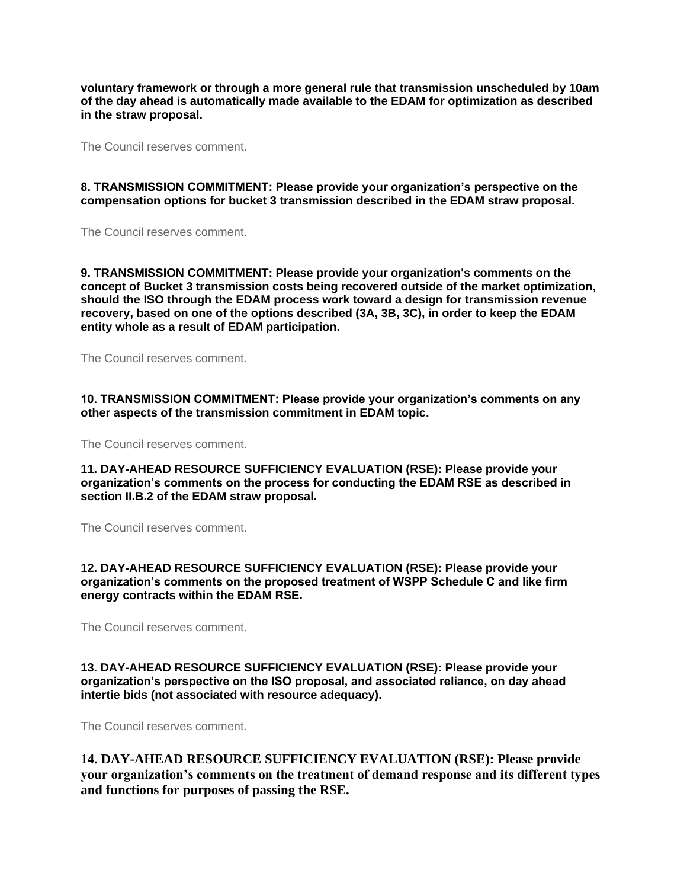**voluntary framework or through a more general rule that transmission unscheduled by 10am of the day ahead is automatically made available to the EDAM for optimization as described in the straw proposal.**

The Council reserves comment.

#### **8. TRANSMISSION COMMITMENT: Please provide your organization's perspective on the compensation options for bucket 3 transmission described in the EDAM straw proposal.**

The Council reserves comment.

**9. TRANSMISSION COMMITMENT: Please provide your organization's comments on the concept of Bucket 3 transmission costs being recovered outside of the market optimization, should the ISO through the EDAM process work toward a design for transmission revenue recovery, based on one of the options described (3A, 3B, 3C), in order to keep the EDAM entity whole as a result of EDAM participation.**

The Council reserves comment.

**10. TRANSMISSION COMMITMENT: Please provide your organization's comments on any other aspects of the transmission commitment in EDAM topic.**

The Council reserves comment.

**11. DAY-AHEAD RESOURCE SUFFICIENCY EVALUATION (RSE): Please provide your organization's comments on the process for conducting the EDAM RSE as described in section II.B.2 of the EDAM straw proposal.**

The Council reserves comment.

**12. DAY-AHEAD RESOURCE SUFFICIENCY EVALUATION (RSE): Please provide your organization's comments on the proposed treatment of WSPP Schedule C and like firm energy contracts within the EDAM RSE.**

The Council reserves comment.

## **13. DAY-AHEAD RESOURCE SUFFICIENCY EVALUATION (RSE): Please provide your organization's perspective on the ISO proposal, and associated reliance, on day ahead intertie bids (not associated with resource adequacy).**

The Council reserves comment.

**14. DAY-AHEAD RESOURCE SUFFICIENCY EVALUATION (RSE): Please provide your organization's comments on the treatment of demand response and its different types and functions for purposes of passing the RSE.**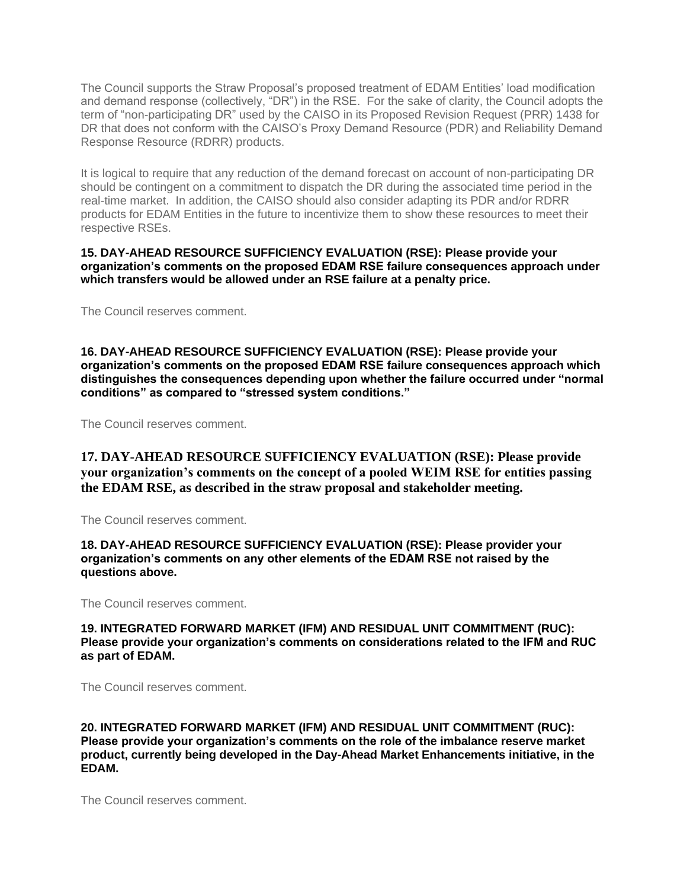The Council supports the Straw Proposal's proposed treatment of EDAM Entities' load modification and demand response (collectively, "DR") in the RSE. For the sake of clarity, the Council adopts the term of "non-participating DR" used by the CAISO in its Proposed Revision Request (PRR) 1438 for DR that does not conform with the CAISO's Proxy Demand Resource (PDR) and Reliability Demand Response Resource (RDRR) products.

It is logical to require that any reduction of the demand forecast on account of non-participating DR should be contingent on a commitment to dispatch the DR during the associated time period in the real-time market. In addition, the CAISO should also consider adapting its PDR and/or RDRR products for EDAM Entities in the future to incentivize them to show these resources to meet their respective RSEs.

**15. DAY-AHEAD RESOURCE SUFFICIENCY EVALUATION (RSE): Please provide your organization's comments on the proposed EDAM RSE failure consequences approach under which transfers would be allowed under an RSE failure at a penalty price.**

The Council reserves comment.

**16. DAY-AHEAD RESOURCE SUFFICIENCY EVALUATION (RSE): Please provide your organization's comments on the proposed EDAM RSE failure consequences approach which distinguishes the consequences depending upon whether the failure occurred under "normal conditions" as compared to "stressed system conditions."**

The Council reserves comment.

**17. DAY-AHEAD RESOURCE SUFFICIENCY EVALUATION (RSE): Please provide your organization's comments on the concept of a pooled WEIM RSE for entities passing the EDAM RSE, as described in the straw proposal and stakeholder meeting.**

The Council reserves comment.

**18. DAY-AHEAD RESOURCE SUFFICIENCY EVALUATION (RSE): Please provider your organization's comments on any other elements of the EDAM RSE not raised by the questions above.**

The Council reserves comment.

**19. INTEGRATED FORWARD MARKET (IFM) AND RESIDUAL UNIT COMMITMENT (RUC): Please provide your organization's comments on considerations related to the IFM and RUC as part of EDAM.**

The Council reserves comment.

**20. INTEGRATED FORWARD MARKET (IFM) AND RESIDUAL UNIT COMMITMENT (RUC): Please provide your organization's comments on the role of the imbalance reserve market product, currently being developed in the Day-Ahead Market Enhancements initiative, in the EDAM.**

The Council reserves comment.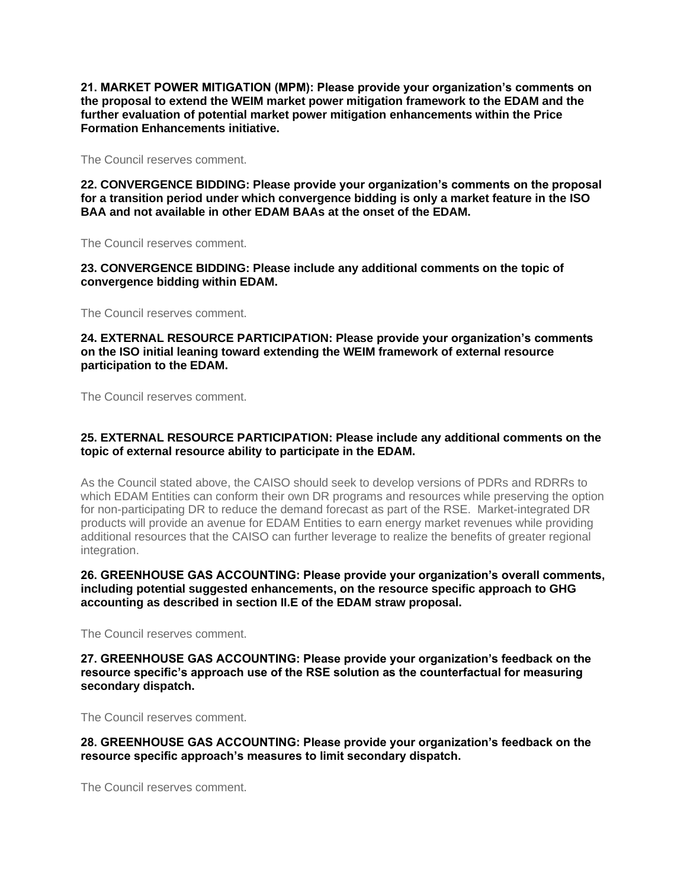**21. MARKET POWER MITIGATION (MPM): Please provide your organization's comments on the proposal to extend the WEIM market power mitigation framework to the EDAM and the further evaluation of potential market power mitigation enhancements within the Price Formation Enhancements initiative.**

The Council reserves comment.

**22. CONVERGENCE BIDDING: Please provide your organization's comments on the proposal for a transition period under which convergence bidding is only a market feature in the ISO BAA and not available in other EDAM BAAs at the onset of the EDAM.**

The Council reserves comment.

**23. CONVERGENCE BIDDING: Please include any additional comments on the topic of convergence bidding within EDAM.**

The Council reserves comment.

#### **24. EXTERNAL RESOURCE PARTICIPATION: Please provide your organization's comments on the ISO initial leaning toward extending the WEIM framework of external resource participation to the EDAM.**

The Council reserves comment.

## **25. EXTERNAL RESOURCE PARTICIPATION: Please include any additional comments on the topic of external resource ability to participate in the EDAM.**

As the Council stated above, the CAISO should seek to develop versions of PDRs and RDRRs to which EDAM Entities can conform their own DR programs and resources while preserving the option for non-participating DR to reduce the demand forecast as part of the RSE. Market-integrated DR products will provide an avenue for EDAM Entities to earn energy market revenues while providing additional resources that the CAISO can further leverage to realize the benefits of greater regional integration.

## **26. GREENHOUSE GAS ACCOUNTING: Please provide your organization's overall comments, including potential suggested enhancements, on the resource specific approach to GHG accounting as described in section II.E of the EDAM straw proposal.**

The Council reserves comment.

## **27. GREENHOUSE GAS ACCOUNTING: Please provide your organization's feedback on the resource specific's approach use of the RSE solution as the counterfactual for measuring secondary dispatch.**

The Council reserves comment.

**28. GREENHOUSE GAS ACCOUNTING: Please provide your organization's feedback on the resource specific approach's measures to limit secondary dispatch.**

The Council reserves comment.